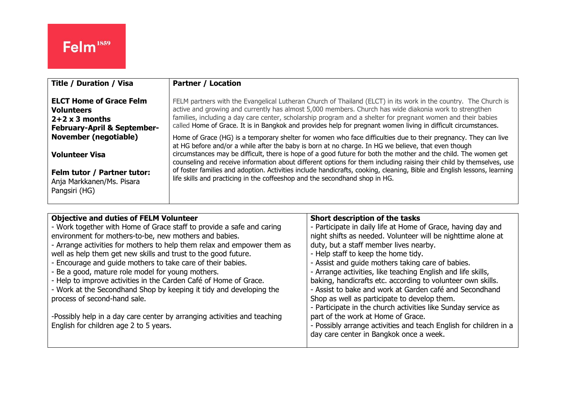| <b>Title / Duration / Visa</b>                        | <b>Partner / Location</b>                                                                                                                                                                                                                                                                                                                 |
|-------------------------------------------------------|-------------------------------------------------------------------------------------------------------------------------------------------------------------------------------------------------------------------------------------------------------------------------------------------------------------------------------------------|
| <b>ELCT Home of Grace Felm</b>                        | FELM partners with the Evangelical Lutheran Church of Thailand (ELCT) in its work in the country. The Church is                                                                                                                                                                                                                           |
| <b>Volunteers</b>                                     | active and growing and currently has almost 5,000 members. Church has wide diakonia work to strengthen                                                                                                                                                                                                                                    |
| $2+2 \times 3$ months                                 | families, including a day care center, scholarship program and a shelter for pregnant women and their babies                                                                                                                                                                                                                              |
| <b>February-April &amp; September-</b>                | called Home of Grace. It is in Bangkok and provides help for pregnant women living in difficult circumstances.                                                                                                                                                                                                                            |
| <b>November (negotiable)</b><br><b>Volunteer Visa</b> | Home of Grace (HG) is a temporary shelter for women who face difficulties due to their pregnancy. They can live<br>at HG before and/or a while after the baby is born at no charge. In HG we believe, that even though<br>circumstances may be difficult, there is hope of a good future for both the mother and the child. The women get |
| Felm tutor / Partner tutor:                           | counseling and receive information about different options for them including raising their child by themselves, use                                                                                                                                                                                                                      |
| Anja Markkanen/Ms. Pisara                             | of foster families and adoption. Activities include handicrafts, cooking, cleaning, Bible and English lessons, learning                                                                                                                                                                                                                   |
| Pangsiri (HG)                                         | life skills and practicing in the coffeeshop and the secondhand shop in HG.                                                                                                                                                                                                                                                               |

| <b>Objective and duties of FELM Volunteer</b>                            | Short description of the tasks                                    |
|--------------------------------------------------------------------------|-------------------------------------------------------------------|
| - Work together with Home of Grace staff to provide a safe and caring    | - Participate in daily life at Home of Grace, having day and      |
| environment for mothers-to-be, new mothers and babies.                   | night shifts as needed. Volunteer will be nighttime alone at      |
| - Arrange activities for mothers to help them relax and empower them as  | duty, but a staff member lives nearby.                            |
| well as help them get new skills and trust to the good future.           | - Help staff to keep the home tidy.                               |
| - Encourage and guide mothers to take care of their babies.              | - Assist and guide mothers taking care of babies.                 |
| - Be a good, mature role model for young mothers.                        | - Arrange activities, like teaching English and life skills,      |
| - Help to improve activities in the Carden Café of Home of Grace.        | baking, handicrafts etc. according to volunteer own skills.       |
| - Work at the Secondhand Shop by keeping it tidy and developing the      | - Assist to bake and work at Garden café and Secondhand           |
| process of second-hand sale.                                             | Shop as well as participate to develop them.                      |
|                                                                          | - Participate in the church activities like Sunday service as     |
| -Possibly help in a day care center by arranging activities and teaching | part of the work at Home of Grace.                                |
| English for children age 2 to 5 years.                                   | - Possibly arrange activities and teach English for children in a |
|                                                                          | day care center in Bangkok once a week.                           |
|                                                                          |                                                                   |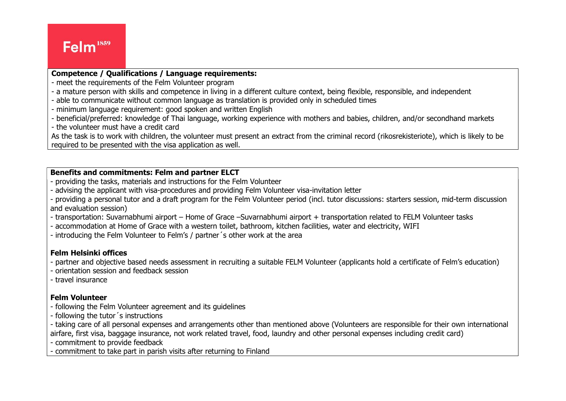# Felm<sup>1859</sup>

#### Competence / Qualifications / Language requirements:

- meet the requirements of the Felm Volunteer program
- a mature person with skills and competence in living in a different culture context, being flexible, responsible, and independent
- able to communicate without common language as translation is provided only in scheduled times
- minimum language requirement: good spoken and written English
- beneficial/preferred: knowledge of Thai language, working experience with mothers and babies, children, and/or secondhand markets
- the volunteer must have a credit card

As the task is to work with children, the volunteer must present an extract from the criminal record (rikosrekisteriote), which is likely to be required to be presented with the visa application as well.

### Benefits and commitments: Felm and partner ELCT

- providing the tasks, materials and instructions for the Felm Volunteer
- advising the applicant with visa-procedures and providing Felm Volunteer visa-invitation letter
- providing a personal tutor and a draft program for the Felm Volunteer period (incl. tutor discussions: starters session, mid-term discussion and evaluation session)
- transportation: Suvarnabhumi airport Home of Grace –Suvarnabhumi airport + transportation related to FELM Volunteer tasks
- accommodation at Home of Grace with a western toilet, bathroom, kitchen facilities, water and electricity, WIFI
- introducing the Felm Volunteer to Felm's / partner´s other work at the area

## Felm Helsinki offices

- partner and objective based needs assessment in recruiting a suitable FELM Volunteer (applicants hold a certificate of Felm's education)
- orientation session and feedback session
- travel insurance

## Felm Volunteer

- following the Felm Volunteer agreement and its guidelines
- following the tutor´s instructions

- taking care of all personal expenses and arrangements other than mentioned above (Volunteers are responsible for their own international airfare, first visa, baggage insurance, not work related travel, food, laundry and other personal expenses including credit card)

- commitment to provide feedback

- commitment to take part in parish visits after returning to Finland